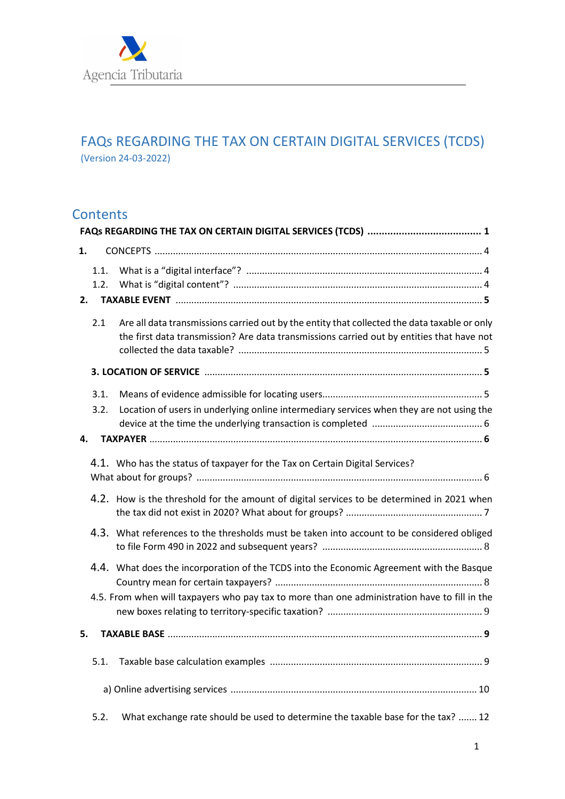

# FAQs REGARDING THE TAX ON CERTAIN DIGITAL SERVICES (TCDS) (Version 24-03-2022)

# **Contents**

| 1. |              |                                                                                                                                                                                           |
|----|--------------|-------------------------------------------------------------------------------------------------------------------------------------------------------------------------------------------|
|    | 1.1.<br>1.2. |                                                                                                                                                                                           |
| 2. |              |                                                                                                                                                                                           |
|    | 2.1          | Are all data transmissions carried out by the entity that collected the data taxable or only<br>the first data transmission? Are data transmissions carried out by entities that have not |
|    |              |                                                                                                                                                                                           |
|    | 3.1.         |                                                                                                                                                                                           |
|    | 3.2.         | Location of users in underlying online intermediary services when they are not using the                                                                                                  |
| 4. |              |                                                                                                                                                                                           |
|    |              | 4.1. Who has the status of taxpayer for the Tax on Certain Digital Services?                                                                                                              |
|    |              | 4.2. How is the threshold for the amount of digital services to be determined in 2021 when                                                                                                |
|    |              | 4.3. What references to the thresholds must be taken into account to be considered obliged                                                                                                |
|    |              | 4.4. What does the incorporation of the TCDS into the Economic Agreement with the Basque<br>4.5. From when will taxpayers who pay tax to more than one administration have to fill in the |
|    |              |                                                                                                                                                                                           |
| 5. |              |                                                                                                                                                                                           |
|    | 5.1.         |                                                                                                                                                                                           |
|    |              |                                                                                                                                                                                           |
|    | 5.2.         | What exchange rate should be used to determine the taxable base for the tax?  12                                                                                                          |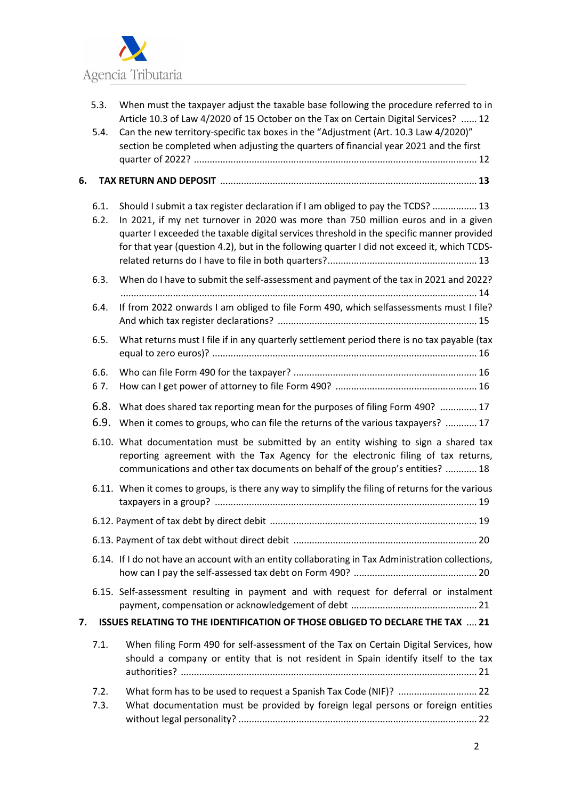

|    | 5.3.         | When must the taxpayer adjust the taxable base following the procedure referred to in<br>Article 10.3 of Law 4/2020 of 15 October on the Tax on Certain Digital Services?  12                                                                                                                                                                                     |
|----|--------------|-------------------------------------------------------------------------------------------------------------------------------------------------------------------------------------------------------------------------------------------------------------------------------------------------------------------------------------------------------------------|
|    | 5.4.         | Can the new territory-specific tax boxes in the "Adjustment (Art. 10.3 Law 4/2020)"<br>section be completed when adjusting the quarters of financial year 2021 and the first                                                                                                                                                                                      |
| 6. |              |                                                                                                                                                                                                                                                                                                                                                                   |
|    |              |                                                                                                                                                                                                                                                                                                                                                                   |
|    | 6.1.<br>6.2. | Should I submit a tax register declaration if I am obliged to pay the TCDS?  13<br>In 2021, if my net turnover in 2020 was more than 750 million euros and in a given<br>quarter I exceeded the taxable digital services threshold in the specific manner provided<br>for that year (question 4.2), but in the following quarter I did not exceed it, which TCDS- |
|    | 6.3.         | When do I have to submit the self-assessment and payment of the tax in 2021 and 2022?                                                                                                                                                                                                                                                                             |
|    | 6.4.         | If from 2022 onwards I am obliged to file Form 490, which selfassessments must I file?                                                                                                                                                                                                                                                                            |
|    | 6.5.         | What returns must I file if in any quarterly settlement period there is no tax payable (tax                                                                                                                                                                                                                                                                       |
|    | 6.6.<br>67.  |                                                                                                                                                                                                                                                                                                                                                                   |
|    | 6.8.<br>6.9. | What does shared tax reporting mean for the purposes of filing Form 490?  17<br>When it comes to groups, who can file the returns of the various taxpayers?  17                                                                                                                                                                                                   |
|    |              | 6.10. What documentation must be submitted by an entity wishing to sign a shared tax<br>reporting agreement with the Tax Agency for the electronic filing of tax returns,<br>communications and other tax documents on behalf of the group's entities?  18                                                                                                        |
|    |              | 6.11. When it comes to groups, is there any way to simplify the filing of returns for the various                                                                                                                                                                                                                                                                 |
|    |              |                                                                                                                                                                                                                                                                                                                                                                   |
|    |              |                                                                                                                                                                                                                                                                                                                                                                   |
|    |              | 6.14. If I do not have an account with an entity collaborating in Tax Administration collections,                                                                                                                                                                                                                                                                 |
|    |              | 6.15. Self-assessment resulting in payment and with request for deferral or instalment                                                                                                                                                                                                                                                                            |
| 7. |              | ISSUES RELATING TO THE IDENTIFICATION OF THOSE OBLIGED TO DECLARE THE TAX  21                                                                                                                                                                                                                                                                                     |
|    | 7.1.         | When filing Form 490 for self-assessment of the Tax on Certain Digital Services, how<br>should a company or entity that is not resident in Spain identify itself to the tax                                                                                                                                                                                       |
|    | 7.2.<br>7.3. | What form has to be used to request a Spanish Tax Code (NIF)?  22<br>What documentation must be provided by foreign legal persons or foreign entities                                                                                                                                                                                                             |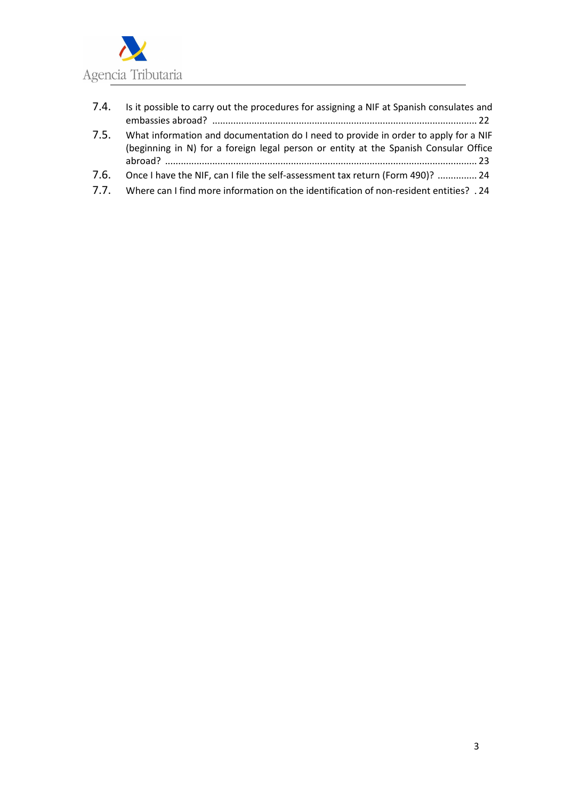

- 7.4. Is it possible to carry out the procedures for assigning a NIF at Spanish consulates and embassies abroad? ..................................................................................................... 22
- 7.5. What information and documentation do I need to provide in order to apply for a NIF (beginning in N) for a foreign legal person or entity at the Spanish Consular Office abroad? ....................................................................................................................... 23
- 7.6. Once I have the NIF, can I file the self-assessment tax return (Form 490)? ............... 24
- 7.7. Where can I find more information on the identification of non-resident entities? . 24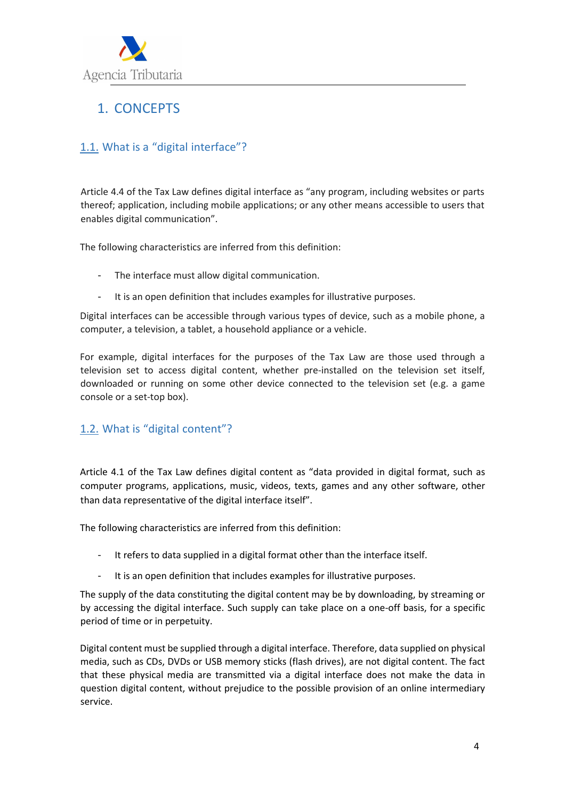

# 1. CONCEPTS

## 1.1. What is a "digital interface"?

Article 4.4 of the Tax Law defines digital interface as "any program, including websites or parts thereof; application, including mobile applications; or any other means accessible to users that enables digital communication".

The following characteristics are inferred from this definition:

- The interface must allow digital communication.
- It is an open definition that includes examples for illustrative purposes.

Digital interfaces can be accessible through various types of device, such as a mobile phone, a computer, a television, a tablet, a household appliance or a vehicle.

For example, digital interfaces for the purposes of the Tax Law are those used through a television set to access digital content, whether pre-installed on the television set itself, downloaded or running on some other device connected to the television set (e.g. a game console or a set-top box).

## 1.2. What is "digital content"?

Article 4.1 of the Tax Law defines digital content as "data provided in digital format, such as computer programs, applications, music, videos, texts, games and any other software, other than data representative of the digital interface itself".

The following characteristics are inferred from this definition:

- It refers to data supplied in a digital format other than the interface itself.
- It is an open definition that includes examples for illustrative purposes.

The supply of the data constituting the digital content may be by downloading, by streaming or by accessing the digital interface. Such supply can take place on a one-off basis, for a specific period of time or in perpetuity.

Digital content must be supplied through a digital interface. Therefore, data supplied on physical media, such as CDs, DVDs or USB memory sticks (flash drives), are not digital content. The fact that these physical media are transmitted via a digital interface does not make the data in question digital content, without prejudice to the possible provision of an online intermediary service.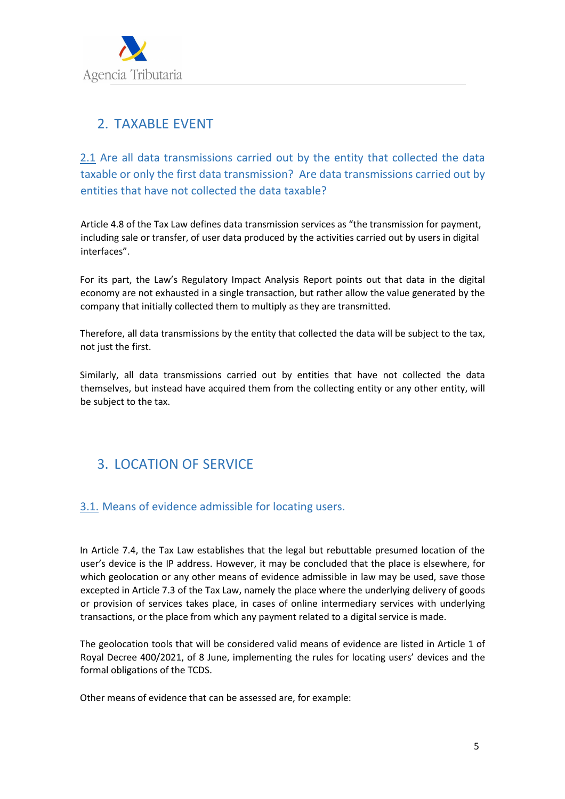

# 2. TAXABLE EVENT

2.1 Are all data transmissions carried out by the entity that collected the data taxable or only the first data transmission? Are data transmissions carried out by entities that have not collected the data taxable?

Article 4.8 of the Tax Law defines data transmission services as "the transmission for payment, including sale or transfer, of user data produced by the activities carried out by users in digital interfaces".

For its part, the Law's Regulatory Impact Analysis Report points out that data in the digital economy are not exhausted in a single transaction, but rather allow the value generated by the company that initially collected them to multiply as they are transmitted.

Therefore, all data transmissions by the entity that collected the data will be subject to the tax, not just the first.

Similarly, all data transmissions carried out by entities that have not collected the data themselves, but instead have acquired them from the collecting entity or any other entity, will be subject to the tax.

# 3. LOCATION OF SERVICE

#### 3.1. Means of evidence admissible for locating users.

In Article 7.4, the Tax Law establishes that the legal but rebuttable presumed location of the user's device is the IP address. However, it may be concluded that the place is elsewhere, for which geolocation or any other means of evidence admissible in law may be used, save those excepted in Article 7.3 of the Tax Law, namely the place where the underlying delivery of goods or provision of services takes place, in cases of online intermediary services with underlying transactions, or the place from which any payment related to a digital service is made.

The geolocation tools that will be considered valid means of evidence are listed in Article 1 of Royal Decree 400/2021, of 8 June, implementing the rules for locating users' devices and the formal obligations of the TCDS.

Other means of evidence that can be assessed are, for example: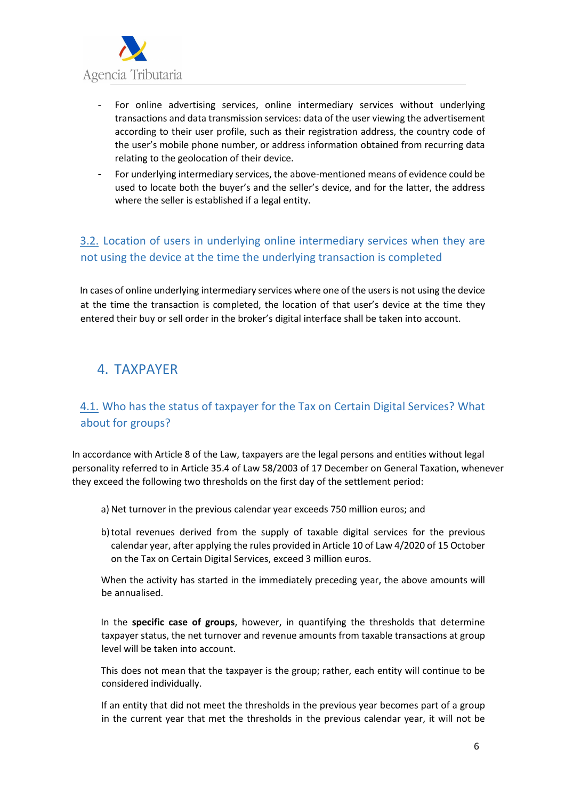

- For online advertising services, online intermediary services without underlying transactions and data transmission services: data of the user viewing the advertisement according to their user profile, such as their registration address, the country code of the user's mobile phone number, or address information obtained from recurring data relating to the geolocation of their device.
- For underlying intermediary services, the above-mentioned means of evidence could be used to locate both the buyer's and the seller's device, and for the latter, the address where the seller is established if a legal entity.

## 3.2. Location of users in underlying online intermediary services when they are not using the device at the time the underlying transaction is completed

In cases of online underlying intermediary services where one of the users is not using the device at the time the transaction is completed, the location of that user's device at the time they entered their buy or sell order in the broker's digital interface shall be taken into account.

# 4. TAXPAYER

## 4.1. Who has the status of taxpayer for the Tax on Certain Digital Services? What about for groups?

In accordance with Article 8 of the Law, taxpayers are the legal persons and entities without legal personality referred to in Article 35.4 of Law 58/2003 of 17 December on General Taxation, whenever they exceed the following two thresholds on the first day of the settlement period:

- a) Net turnover in the previous calendar year exceeds 750 million euros; and
- b)total revenues derived from the supply of taxable digital services for the previous calendar year, after applying the rules provided in Article 10 of Law 4/2020 of 15 October on the Tax on Certain Digital Services, exceed 3 million euros.

When the activity has started in the immediately preceding year, the above amounts will be annualised.

In the **specific case of groups**, however, in quantifying the thresholds that determine taxpayer status, the net turnover and revenue amounts from taxable transactions at group level will be taken into account.

This does not mean that the taxpayer is the group; rather, each entity will continue to be considered individually.

If an entity that did not meet the thresholds in the previous year becomes part of a group in the current year that met the thresholds in the previous calendar year, it will not be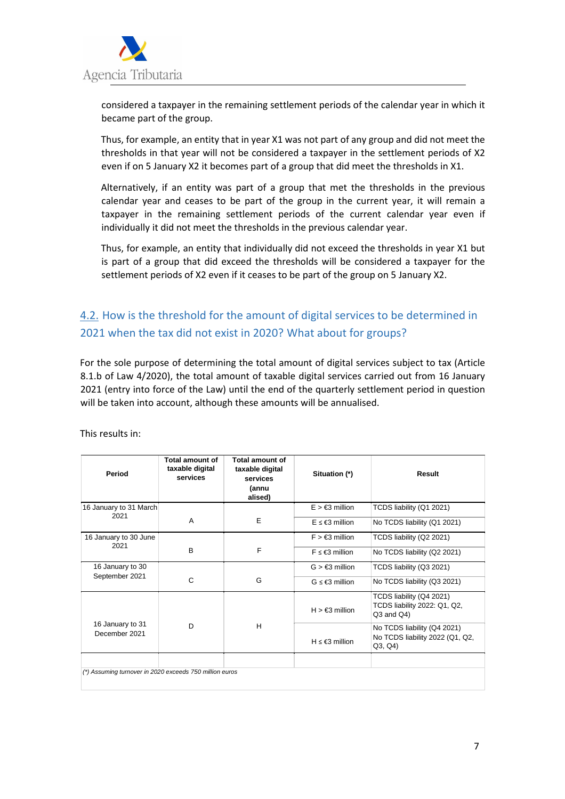

considered a taxpayer in the remaining settlement periods of the calendar year in which it became part of the group.

Thus, for example, an entity that in year X1 was not part of any group and did not meet the thresholds in that year will not be considered a taxpayer in the settlement periods of X2 even if on 5 January X2 it becomes part of a group that did meet the thresholds in X1.

Alternatively, if an entity was part of a group that met the thresholds in the previous calendar year and ceases to be part of the group in the current year, it will remain a taxpayer in the remaining settlement periods of the current calendar year even if individually it did not meet the thresholds in the previous calendar year.

Thus, for example, an entity that individually did not exceed the thresholds in year X1 but is part of a group that did exceed the thresholds will be considered a taxpayer for the settlement periods of X2 even if it ceases to be part of the group on 5 January X2.

## 4.2. How is the threshold for the amount of digital services to be determined in 2021 when the tax did not exist in 2020? What about for groups?

For the sole purpose of determining the total amount of digital services subject to tax (Article 8.1.b of Law 4/2020), the total amount of taxable digital services carried out from 16 January 2021 (entry into force of the Law) until the end of the quarterly settlement period in question will be taken into account, although these amounts will be annualised.

| Period                                                  | Total amount of<br>taxable digital<br>services | Total amount of<br>taxable digital<br>services<br>(annu<br>alised) | Situation (*)               | Result                                                                      |
|---------------------------------------------------------|------------------------------------------------|--------------------------------------------------------------------|-----------------------------|-----------------------------------------------------------------------------|
| 16 January to 31 March<br>2021                          |                                                |                                                                    | $E > \epsilon$ 3 million    | TCDS liability (Q1 2021)                                                    |
|                                                         | A                                              | Е                                                                  | $F \leq \epsilon$ 3 million | No TCDS liability (Q1 2021)                                                 |
| 16 January to 30 June                                   |                                                |                                                                    | $F > \epsilon$ 3 million    | TCDS liability (Q2 2021)                                                    |
| 2021                                                    | B                                              | F                                                                  | $F \leq \epsilon$ 3 million | No TCDS liability (Q2 2021)                                                 |
| 16 January to 30                                        | C                                              | G                                                                  | $G > \epsilon$ 3 million    | TCDS liability (Q3 2021)                                                    |
| September 2021                                          |                                                |                                                                    | $G \leq \epsilon$ 3 million | No TCDS liability (Q3 2021)                                                 |
|                                                         |                                                |                                                                    | $H > \epsilon$ 3 million    | TCDS liability (Q4 2021)<br>TCDS liability 2022: Q1, Q2,<br>$Q3$ and $Q4$ ) |
| 16 January to 31<br>December 2021                       | D                                              | H                                                                  | $H \leq \epsilon$ 3 million | No TCDS liability (Q4 2021)<br>No TCDS liability 2022 (Q1, Q2,<br>Q3, Q4    |
| (*) Assuming turnover in 2020 exceeds 750 million euros |                                                |                                                                    |                             |                                                                             |

This results in: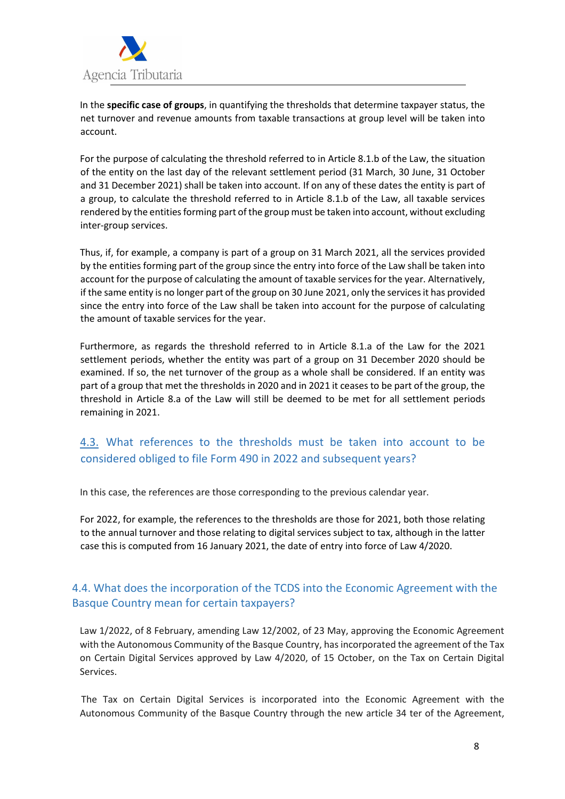

In the **specific case of groups**, in quantifying the thresholds that determine taxpayer status, the net turnover and revenue amounts from taxable transactions at group level will be taken into account.

For the purpose of calculating the threshold referred to in Article 8.1.b of the Law, the situation of the entity on the last day of the relevant settlement period (31 March, 30 June, 31 October and 31 December 2021) shall be taken into account. If on any of these dates the entity is part of a group, to calculate the threshold referred to in Article 8.1.b of the Law, all taxable services rendered by the entities forming part of the group must be taken into account, without excluding inter-group services.

Thus, if, for example, a company is part of a group on 31 March 2021, all the services provided by the entities forming part of the group since the entry into force of the Law shall be taken into account for the purpose of calculating the amount of taxable services for the year. Alternatively, if the same entity is no longer part of the group on 30 June 2021, only the services it has provided since the entry into force of the Law shall be taken into account for the purpose of calculating the amount of taxable services for the year.

Furthermore, as regards the threshold referred to in Article 8.1.a of the Law for the 2021 settlement periods, whether the entity was part of a group on 31 December 2020 should be examined. If so, the net turnover of the group as a whole shall be considered. If an entity was part of a group that met the thresholds in 2020 and in 2021 it ceases to be part of the group, the threshold in Article 8.a of the Law will still be deemed to be met for all settlement periods remaining in 2021.

## 4.3. What references to the thresholds must be taken into account to be considered obliged to file Form 490 in 2022 and subsequent years?

In this case, the references are those corresponding to the previous calendar year.

For 2022, for example, the references to the thresholds are those for 2021, both those relating to the annual turnover and those relating to digital services subject to tax, although in the latter case this is computed from 16 January 2021, the date of entry into force of Law 4/2020.

#### 4.4. What does the incorporation of the TCDS into the Economic Agreement with the Basque Country mean for certain taxpayers?

Law 1/2022, of 8 February, amending Law 12/2002, of 23 May, approving the Economic Agreement with the Autonomous Community of the Basque Country, has incorporated the agreement of the Tax on Certain Digital Services approved by Law 4/2020, of 15 October, on the Tax on Certain Digital Services.

The Tax on Certain Digital Services is incorporated into the Economic Agreement with the Autonomous Community of the Basque Country through the new article 34 ter of the Agreement,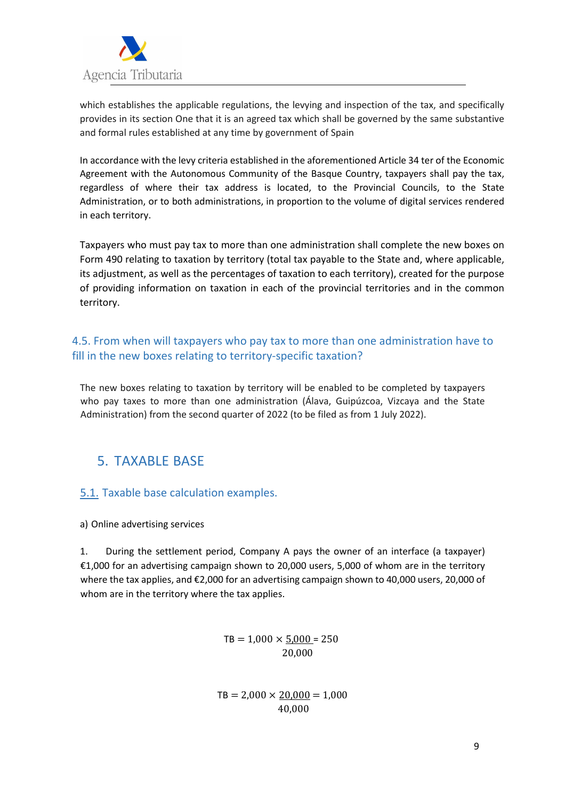

which establishes the applicable regulations, the levying and inspection of the tax, and specifically provides in its section One that it is an agreed tax which shall be governed by the same substantive and formal rules established at any time by government of Spain

In accordance with the levy criteria established in the aforementioned Article 34 ter of the Economic Agreement with the Autonomous Community of the Basque Country, taxpayers shall pay the tax, regardless of where their tax address is located, to the Provincial Councils, to the State Administration, or to both administrations, in proportion to the volume of digital services rendered in each territory.

Taxpayers who must pay tax to more than one administration shall complete the new boxes on Form 490 relating to taxation by territory (total tax payable to the State and, where applicable, its adjustment, as well as the percentages of taxation to each territory), created for the purpose of providing information on taxation in each of the provincial territories and in the common territory.

#### 4.5. From when will taxpayers who pay tax to more than one administration have to fill in the new boxes relating to territory-specific taxation?

The new boxes relating to taxation by territory will be enabled to be completed by taxpayers who pay taxes to more than one administration (Álava, Guipúzcoa, Vizcaya and the State Administration) from the second quarter of 2022 (to be filed as from 1 July 2022).

# 5. TAXABLE BASE

#### 5.1. Taxable base calculation examples.

a) Online advertising services

1. During the settlement period, Company A pays the owner of an interface (a taxpayer) €1,000 for an advertising campaign shown to 20,000 users, 5,000 of whom are in the territory where the tax applies, and €2,000 for an advertising campaign shown to 40,000 users, 20,000 of whom are in the territory where the tax applies.

> $TB = 1,000 \times 5,000 = 250$ 20,000

 $TB = 2,000 \times 20,000 = 1,000$ 40,000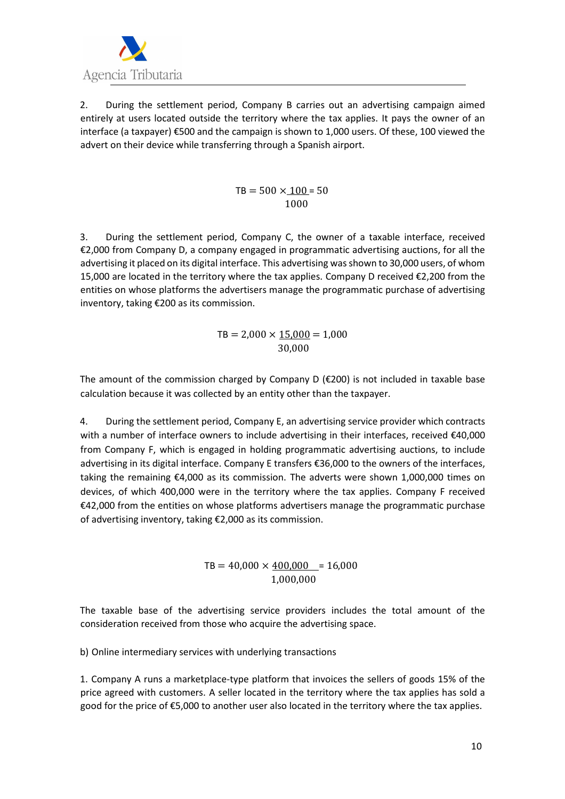

2. During the settlement period, Company B carries out an advertising campaign aimed entirely at users located outside the territory where the tax applies. It pays the owner of an interface (a taxpayer) €500 and the campaign is shown to 1,000 users. Of these, 100 viewed the advert on their device while transferring through a Spanish airport.

> $TB = 500 \times 100 = 50$ 1000

3. During the settlement period, Company C, the owner of a taxable interface, received €2,000 from Company D, a company engaged in programmatic advertising auctions, for all the advertising it placed on its digital interface. This advertising was shown to 30,000 users, of whom 15,000 are located in the territory where the tax applies. Company D received €2,200 from the entities on whose platforms the advertisers manage the programmatic purchase of advertising inventory, taking €200 as its commission.

> $TB = 2,000 \times 15,000 = 1,000$ 30,000

The amount of the commission charged by Company D ( $\epsilon$ 200) is not included in taxable base calculation because it was collected by an entity other than the taxpayer.

4. During the settlement period, Company E, an advertising service provider which contracts with a number of interface owners to include advertising in their interfaces, received €40,000 from Company F, which is engaged in holding programmatic advertising auctions, to include advertising in its digital interface. Company E transfers €36,000 to the owners of the interfaces, taking the remaining €4,000 as its commission. The adverts were shown 1,000,000 times on devices, of which 400,000 were in the territory where the tax applies. Company F received €42,000 from the entities on whose platforms advertisers manage the programmatic purchase of advertising inventory, taking €2,000 as its commission.

> $TB = 40,000 \times 400,000 = 16,000$ 1,000,000

The taxable base of the advertising service providers includes the total amount of the consideration received from those who acquire the advertising space.

b) Online intermediary services with underlying transactions

1. Company A runs a marketplace-type platform that invoices the sellers of goods 15% of the price agreed with customers. A seller located in the territory where the tax applies has sold a good for the price of €5,000 to another user also located in the territory where the tax applies.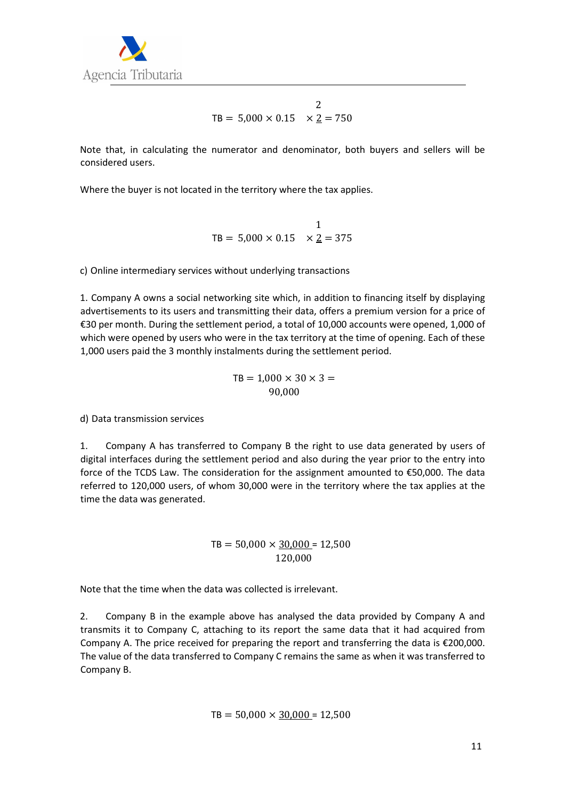

$$
\text{TB} = 5,000 \times 0.15 \times \underline{2} = 750
$$

Note that, in calculating the numerator and denominator, both buyers and sellers will be considered users.

Where the buyer is not located in the territory where the tax applies.

$$
\text{TB} = 5,000 \times 0.15 \quad \times \underline{2} = 375
$$

c) Online intermediary services without underlying transactions

1. Company A owns a social networking site which, in addition to financing itself by displaying advertisements to its users and transmitting their data, offers a premium version for a price of €30 per month. During the settlement period, a total of 10,000 accounts were opened, 1,000 of which were opened by users who were in the tax territory at the time of opening. Each of these 1,000 users paid the 3 monthly instalments during the settlement period.

$$
TB = 1,000 \times 30 \times 3 = 90,000
$$

d) Data transmission services

1. Company A has transferred to Company B the right to use data generated by users of digital interfaces during the settlement period and also during the year prior to the entry into force of the TCDS Law. The consideration for the assignment amounted to €50,000. The data referred to 120,000 users, of whom 30,000 were in the territory where the tax applies at the time the data was generated.

#### $TB = 50,000 \times \underline{30,000} = 12,500$ 120,000

Note that the time when the data was collected is irrelevant.

2. Company B in the example above has analysed the data provided by Company A and transmits it to Company C, attaching to its report the same data that it had acquired from Company A. The price received for preparing the report and transferring the data is €200,000. The value of the data transferred to Company C remains the same as when it was transferred to Company B.

$$
TB = 50,000 \times \underline{30,000} = 12,500
$$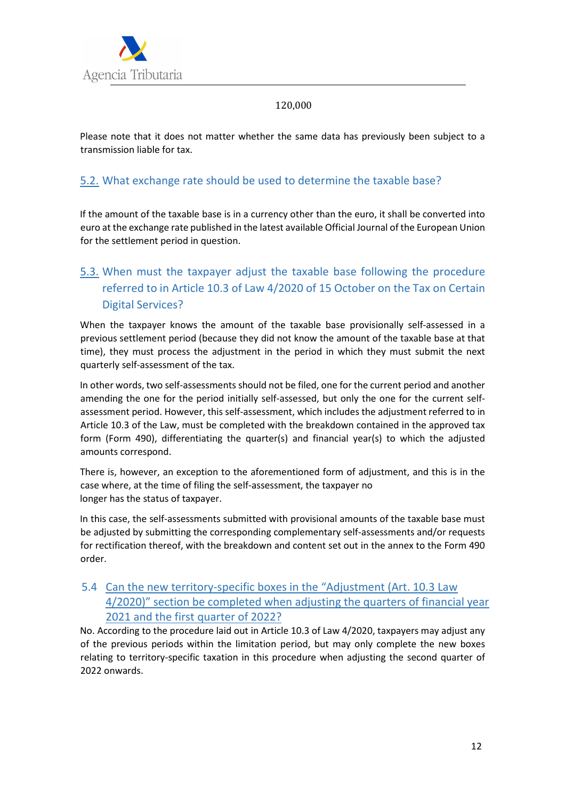

#### 120,000

Please note that it does not matter whether the same data has previously been subject to a transmission liable for tax.

#### 5.2. What exchange rate should be used to determine the taxable base?

If the amount of the taxable base is in a currency other than the euro, it shall be converted into euro at the exchange rate published in the latest available Official Journal of the European Union for the settlement period in question.

# 5.3. When must the taxpayer adjust the taxable base following the procedure referred to in Article 10.3 of Law 4/2020 of 15 October on the Tax on Certain Digital Services?

When the taxpayer knows the amount of the taxable base provisionally self-assessed in a previous settlement period (because they did not know the amount of the taxable base at that time), they must process the adjustment in the period in which they must submit the next quarterly self-assessment of the tax.

In other words, two self-assessments should not be filed, one for the current period and another amending the one for the period initially self-assessed, but only the one for the current selfassessment period. However, this self-assessment, which includes the adjustment referred to in Article 10.3 of the Law, must be completed with the breakdown contained in the approved tax form (Form 490), differentiating the quarter(s) and financial year(s) to which the adjusted amounts correspond.

There is, however, an exception to the aforementioned form of adjustment, and this is in the case where, at the time of filing the self-assessment, the taxpayer no longer has the status of taxpayer.

In this case, the self-assessments submitted with provisional amounts of the taxable base must be adjusted by submitting the corresponding complementary self-assessments and/or requests for rectification thereof, with the breakdown and content set out in the annex to the Form 490 order.

#### 5.4 Can the new territory-specific boxes in the "Adjustment (Art. 10.3 Law 4/2020)" section be completed when adjusting the quarters of financial year 2021 and the first quarter of 2022?

No. According to the procedure laid out in Article 10.3 of Law 4/2020, taxpayers may adjust any of the previous periods within the limitation period, but may only complete the new boxes relating to territory-specific taxation in this procedure when adjusting the second quarter of 2022 onwards.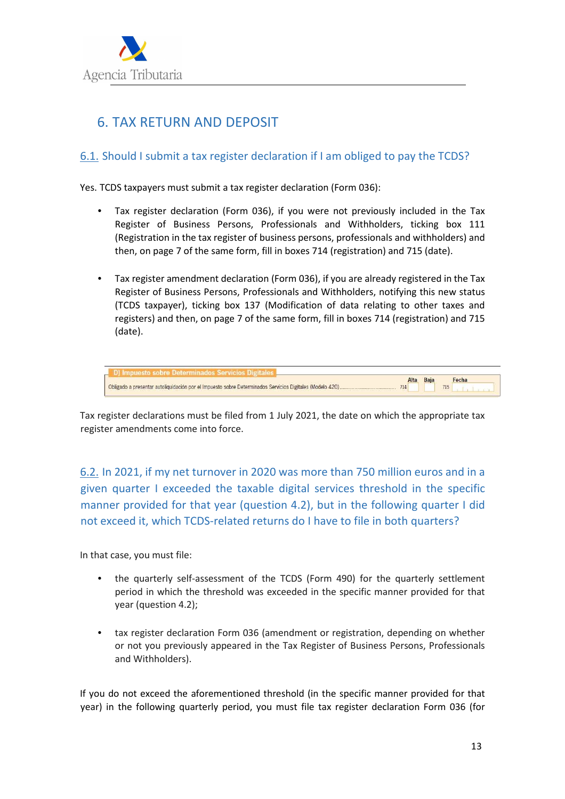

# 6. TAX RETURN AND DEPOSIT

#### 6.1. Should I submit a tax register declaration if I am obliged to pay the TCDS?

Yes. TCDS taxpayers must submit a tax register declaration (Form 036):

- Tax register declaration (Form 036), if you were not previously included in the Tax Register of Business Persons, Professionals and Withholders, ticking box 111 (Registration in the tax register of business persons, professionals and withholders) and then, on page 7 of the same form, fill in boxes 714 (registration) and 715 (date).
- Tax register amendment declaration (Form 036), if you are already registered in the Tax Register of Business Persons, Professionals and Withholders, notifying this new status (TCDS taxpayer), ticking box 137 (Modification of data relating to other taxes and registers) and then, on page 7 of the same form, fill in boxes 714 (registration) and 715 (date).

| D) Impuesto sobre Determinados Servicios Digitales |     |     |
|----------------------------------------------------|-----|-----|
|                                                    | 714 | 715 |

Tax register declarations must be filed from 1 July 2021, the date on which the appropriate tax register amendments come into force.

6.2. In 2021, if my net turnover in 2020 was more than 750 million euros and in a given quarter I exceeded the taxable digital services threshold in the specific manner provided for that year (question 4.2), but in the following quarter I did not exceed it, which TCDS-related returns do I have to file in both quarters?

In that case, you must file:

- the quarterly self-assessment of the TCDS (Form 490) for the quarterly settlement period in which the threshold was exceeded in the specific manner provided for that year (question 4.2);
- tax register declaration Form 036 (amendment or registration, depending on whether or not you previously appeared in the Tax Register of Business Persons, Professionals and Withholders).

If you do not exceed the aforementioned threshold (in the specific manner provided for that year) in the following quarterly period, you must file tax register declaration Form 036 (for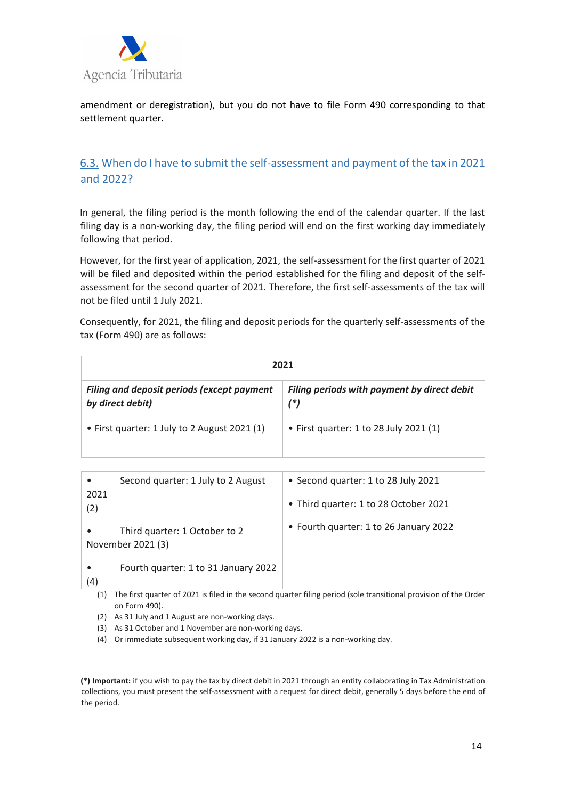

amendment or deregistration), but you do not have to file Form 490 corresponding to that settlement quarter.

## 6.3. When do I have to submit the self-assessment and payment of the tax in 2021 and 2022?

In general, the filing period is the month following the end of the calendar quarter. If the last filing day is a non-working day, the filing period will end on the first working day immediately following that period.

However, for the first year of application, 2021, the self-assessment for the first quarter of 2021 will be filed and deposited within the period established for the filing and deposit of the selfassessment for the second quarter of 2021. Therefore, the first self-assessments of the tax will not be filed until 1 July 2021.

Consequently, for 2021, the filing and deposit periods for the quarterly self-assessments of the tax (Form 490) are as follows:

| 2021                                                                  |                                                    |  |
|-----------------------------------------------------------------------|----------------------------------------------------|--|
| <b>Filing and deposit periods (except payment</b><br>by direct debit) | Filing periods with payment by direct debit<br>(*) |  |
| • First quarter: 1 July to 2 August 2021 (1)                          | • First quarter: 1 to 28 July 2021 (1)             |  |

|             | Second quarter: 1 July to 2 August                 | • Second quarter: 1 to 28 July 2021    |
|-------------|----------------------------------------------------|----------------------------------------|
| 2021<br>(2) |                                                    | • Third quarter: 1 to 28 October 2021  |
|             | Third quarter: 1 October to 2<br>November 2021 (3) | • Fourth quarter: 1 to 26 January 2022 |
| (4)         | Fourth quarter: 1 to 31 January 2022               |                                        |

(1) The first quarter of 2021 is filed in the second quarter filing period (sole transitional provision of the Order on Form 490).

(2) As 31 July and 1 August are non-working days.

(3) As 31 October and 1 November are non-working days.

(4) Or immediate subsequent working day, if 31 January 2022 is a non-working day.

**(\*) Important:** if you wish to pay the tax by direct debit in 2021 through an entity collaborating in Tax Administration collections, you must present the self-assessment with a request for direct debit, generally 5 days before the end of the period.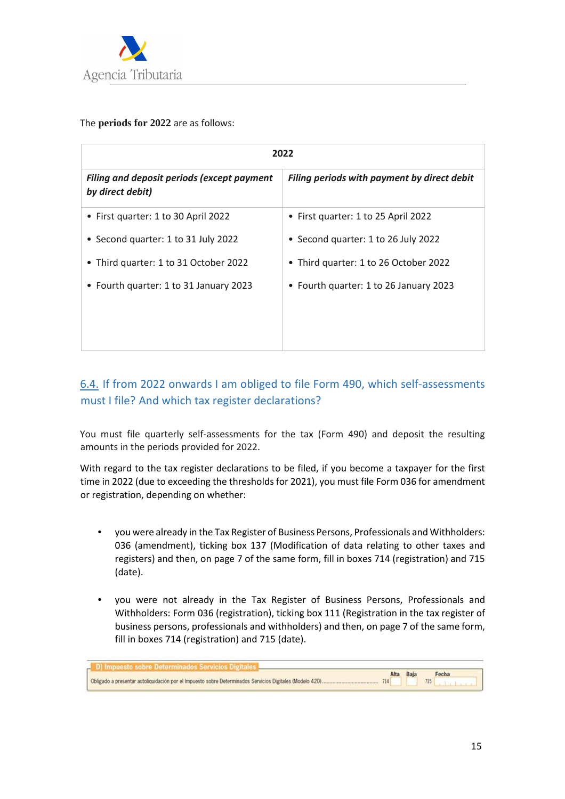

The **periods for 2022** are as follows:

| 2022                                                                  |                                             |  |
|-----------------------------------------------------------------------|---------------------------------------------|--|
| <b>Filing and deposit periods (except payment</b><br>by direct debit) | Filing periods with payment by direct debit |  |
| • First quarter: 1 to 30 April 2022                                   | • First quarter: 1 to 25 April 2022         |  |
| • Second quarter: 1 to 31 July 2022                                   | • Second quarter: 1 to 26 July 2022         |  |
| • Third quarter: 1 to 31 October 2022                                 | • Third quarter: 1 to 26 October 2022       |  |
| • Fourth quarter: 1 to 31 January 2023                                | • Fourth quarter: 1 to 26 January 2023      |  |
|                                                                       |                                             |  |
|                                                                       |                                             |  |

#### 6.4. If from 2022 onwards I am obliged to file Form 490, which self-assessments must I file? And which tax register declarations?

You must file quarterly self-assessments for the tax (Form 490) and deposit the resulting amounts in the periods provided for 2022.

With regard to the tax register declarations to be filed, if you become a taxpayer for the first time in 2022 (due to exceeding the thresholds for 2021), you must file Form 036 for amendment or registration, depending on whether:

- you were already in the Tax Register of Business Persons, Professionals and Withholders: 036 (amendment), ticking box 137 (Modification of data relating to other taxes and registers) and then, on page 7 of the same form, fill in boxes 714 (registration) and 715 (date).
- you were not already in the Tax Register of Business Persons, Professionals and Withholders: Form 036 (registration), ticking box 111 (Registration in the tax register of business persons, professionals and withholders) and then, on page 7 of the same form, fill in boxes 714 (registration) and 715 (date).

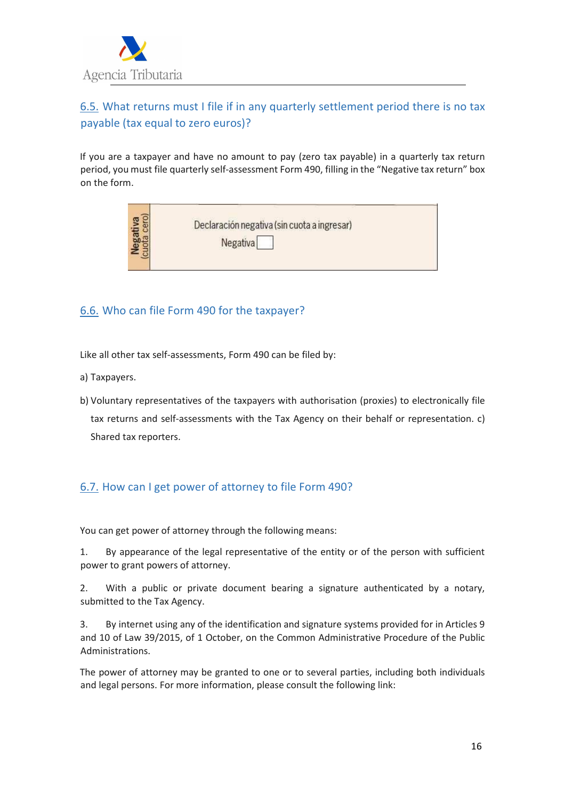

## 6.5. What returns must I file if in any quarterly settlement period there is no tax payable (tax equal to zero euros)?

If you are a taxpayer and have no amount to pay (zero tax payable) in a quarterly tax return period, you must file quarterly self-assessment Form 490, filling in the "Negative tax return" box on the form.

| Declaración negativa (sin cuota a ingresar)<br>Negativa |
|---------------------------------------------------------|
|---------------------------------------------------------|

#### 6.6. Who can file Form 490 for the taxpayer?

Like all other tax self-assessments, Form 490 can be filed by:

- a) Taxpayers.
- b) Voluntary representatives of the taxpayers with authorisation (proxies) to electronically file tax returns and self-assessments with the Tax Agency on their behalf or representation. c) Shared tax reporters.

#### 6.7. How can I get power of attorney to file Form 490?

You can get power of attorney through the following means:

1. By appearance of the legal representative of the entity or of the person with sufficient power to grant powers of attorney.

2. With a public or private document bearing a signature authenticated by a notary, submitted to the Tax Agency.

3. By internet using any of the identification and signature systems provided for in Articles 9 and 10 of Law 39/2015, of 1 October, on the Common Administrative Procedure of the Public Administrations.

The power of attorney may be granted to one or to several parties, including both individuals and legal persons. For more information, please consult the following link: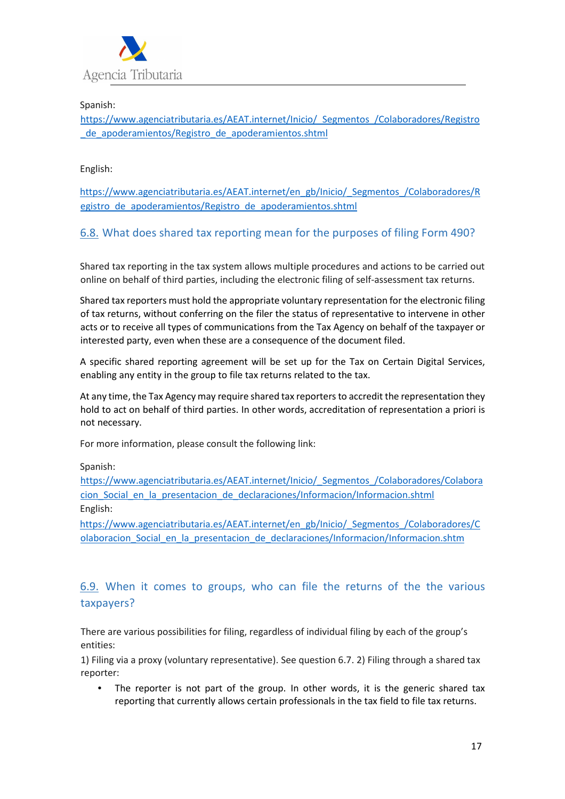

Spanish:

https://www.agenciatributaria.es/AEAT.internet/Inicio/\_Segmentos\_/Colaboradores/Registro \_de\_apoderamientos/Registro\_de\_apoderamientos.shtml

English:

https://www.agenciatributaria.es/AEAT.internet/en\_gb/Inicio/\_Segmentos\_/Colaboradores/R egistro\_de\_apoderamientos/Registro\_de\_apoderamientos.shtml

#### 6.8. What does shared tax reporting mean for the purposes of filing Form 490?

Shared tax reporting in the tax system allows multiple procedures and actions to be carried out online on behalf of third parties, including the electronic filing of self-assessment tax returns.

Shared tax reporters must hold the appropriate voluntary representation for the electronic filing of tax returns, without conferring on the filer the status of representative to intervene in other acts or to receive all types of communications from the Tax Agency on behalf of the taxpayer or interested party, even when these are a consequence of the document filed.

A specific shared reporting agreement will be set up for the Tax on Certain Digital Services, enabling any entity in the group to file tax returns related to the tax.

At any time, the Tax Agency may require shared tax reporters to accredit the representation they hold to act on behalf of third parties. In other words, accreditation of representation a priori is not necessary.

For more information, please consult the following link:

Spanish:

https://www.agenciatributaria.es/AEAT.internet/Inicio/\_Segmentos\_/Colaboradores/Colabora cion\_Social\_en\_la\_presentacion\_de\_declaraciones/Informacion/Informacion.shtml English:

https://www.agenciatributaria.es/AEAT.internet/en\_gb/Inicio/\_Segmentos\_/Colaboradores/C olaboracion\_Social\_en\_la\_presentacion\_de\_declaraciones/Informacion/Informacion.shtm

#### 6.9. When it comes to groups, who can file the returns of the the various taxpayers?

There are various possibilities for filing, regardless of individual filing by each of the group's entities:

1) Filing via a proxy (voluntary representative). See question 6.7. 2) Filing through a shared tax reporter:

• The reporter is not part of the group. In other words, it is the generic shared tax reporting that currently allows certain professionals in the tax field to file tax returns.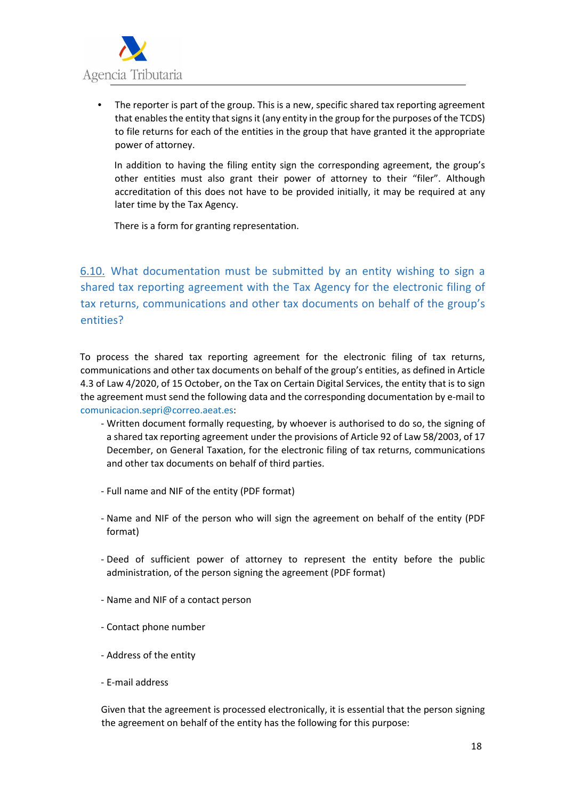

• The reporter is part of the group. This is a new, specific shared tax reporting agreement that enables the entity that signs it (any entity in the group for the purposes of the TCDS) to file returns for each of the entities in the group that have granted it the appropriate power of attorney.

In addition to having the filing entity sign the corresponding agreement, the group's other entities must also grant their power of attorney to their "filer". Although accreditation of this does not have to be provided initially, it may be required at any later time by the Tax Agency.

There is a form for granting representation.

6.10. What documentation must be submitted by an entity wishing to sign a shared tax reporting agreement with the Tax Agency for the electronic filing of tax returns, communications and other tax documents on behalf of the group's entities?

To process the shared tax reporting agreement for the electronic filing of tax returns, communications and other tax documents on behalf of the group's entities, as defined in Article 4.3 of Law 4/2020, of 15 October, on the Tax on Certain Digital Services, the entity that is to sign the agreement must send the following data and the corresponding documentation by e-mail to comunicacion.sepri@correo.aeat.es:

- Written document formally requesting, by whoever is authorised to do so, the signing of a shared tax reporting agreement under the provisions of Article 92 of Law 58/2003, of 17 December, on General Taxation, for the electronic filing of tax returns, communications and other tax documents on behalf of third parties.
- Full name and NIF of the entity (PDF format)
- Name and NIF of the person who will sign the agreement on behalf of the entity (PDF format)
- Deed of sufficient power of attorney to represent the entity before the public administration, of the person signing the agreement (PDF format)
- Name and NIF of a contact person
- Contact phone number
- Address of the entity
- E-mail address

Given that the agreement is processed electronically, it is essential that the person signing the agreement on behalf of the entity has the following for this purpose: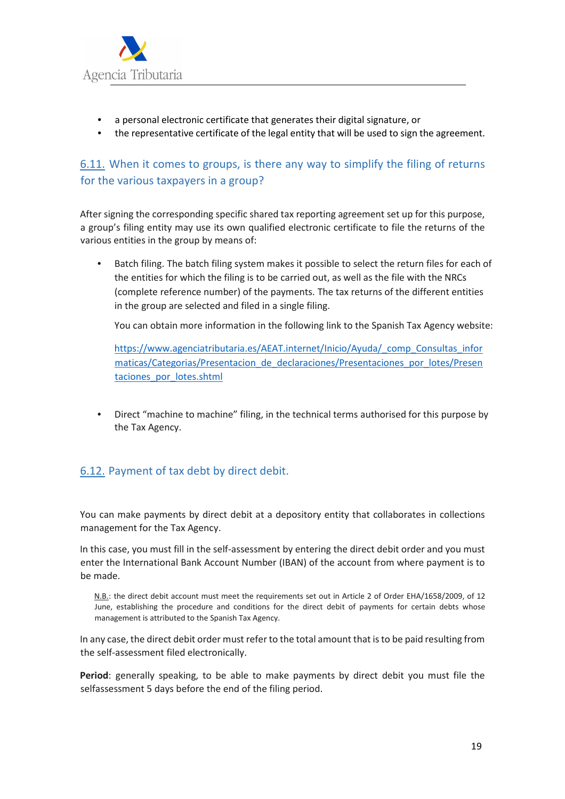

- a personal electronic certificate that generates their digital signature, or
- the representative certificate of the legal entity that will be used to sign the agreement.

## 6.11. When it comes to groups, is there any way to simplify the filing of returns for the various taxpayers in a group?

After signing the corresponding specific shared tax reporting agreement set up for this purpose, a group's filing entity may use its own qualified electronic certificate to file the returns of the various entities in the group by means of:

• Batch filing. The batch filing system makes it possible to select the return files for each of the entities for which the filing is to be carried out, as well as the file with the NRCs (complete reference number) of the payments. The tax returns of the different entities in the group are selected and filed in a single filing.

You can obtain more information in the following link to the Spanish Tax Agency website:

https://www.agenciatributaria.es/AEAT.internet/Inicio/Ayuda/\_comp\_Consultas\_infor maticas/Categorias/Presentacion\_de\_declaraciones/Presentaciones\_por\_lotes/Presen taciones por lotes.shtml

• Direct "machine to machine" filing, in the technical terms authorised for this purpose by the Tax Agency.

## 6.12. Payment of tax debt by direct debit.

You can make payments by direct debit at a depository entity that collaborates in collections management for the Tax Agency.

In this case, you must fill in the self-assessment by entering the direct debit order and you must enter the International Bank Account Number (IBAN) of the account from where payment is to be made.

N.B.: the direct debit account must meet the requirements set out in Article 2 of Order EHA/1658/2009, of 12 June, establishing the procedure and conditions for the direct debit of payments for certain debts whose management is attributed to the Spanish Tax Agency.

In any case, the direct debit order must refer to the total amount that is to be paid resulting from the self-assessment filed electronically.

**Period**: generally speaking, to be able to make payments by direct debit you must file the selfassessment 5 days before the end of the filing period.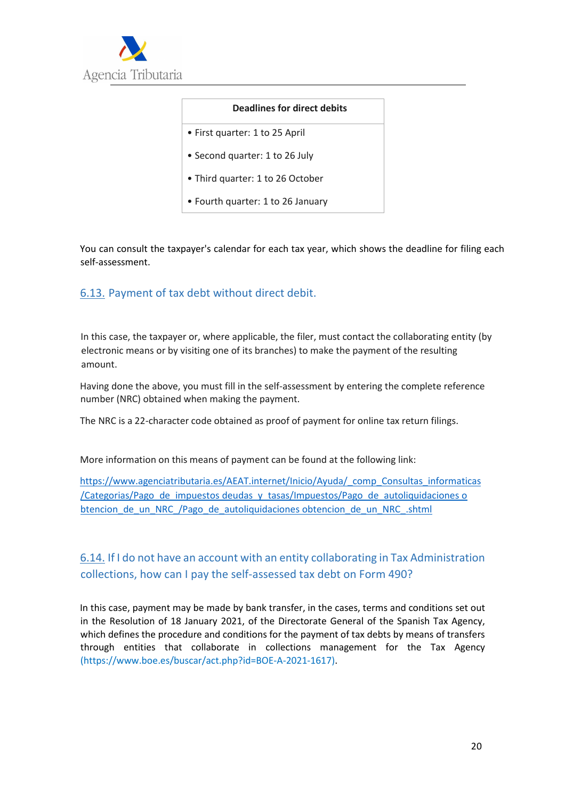

#### **Deadlines for direct debits**

- First quarter: 1 to 25 April
- Second quarter: 1 to 26 July
- Third quarter: 1 to 26 October
- Fourth quarter: 1 to 26 January

You can consult the taxpayer's calendar for each tax year, which shows the deadline for filing each self-assessment.

#### 6.13. Payment of tax debt without direct debit.

In this case, the taxpayer or, where applicable, the filer, must contact the collaborating entity (by electronic means or by visiting one of its branches) to make the payment of the resulting amount.

Having done the above, you must fill in the self-assessment by entering the complete reference number (NRC) obtained when making the payment.

The NRC is a 22-character code obtained as proof of payment for online tax return filings.

More information on this means of payment can be found at the following link:

https://www.agenciatributaria.es/AEAT.internet/Inicio/Ayuda/\_comp\_Consultas\_informaticas /Categorias/Pago\_de\_impuestos deudas\_y\_tasas/Impuestos/Pago\_de\_autoliquidaciones o btencion\_de\_un\_NRC\_/Pago\_de\_autoliquidaciones obtencion\_de\_un\_NRC\_.shtml

## 6.14. If I do not have an account with an entity collaborating in Tax Administration collections, how can I pay the self-assessed tax debt on Form 490?

In this case, payment may be made by bank transfer, in the cases, terms and conditions set out in the Resolution of 18 January 2021, of the Directorate General of the Spanish Tax Agency, which defines the procedure and conditions for the payment of tax debts by means of transfers through entities that collaborate in collections management for the Tax Agency (https://www.boe.es/buscar/act.php?id=BOE-A-2021-1617).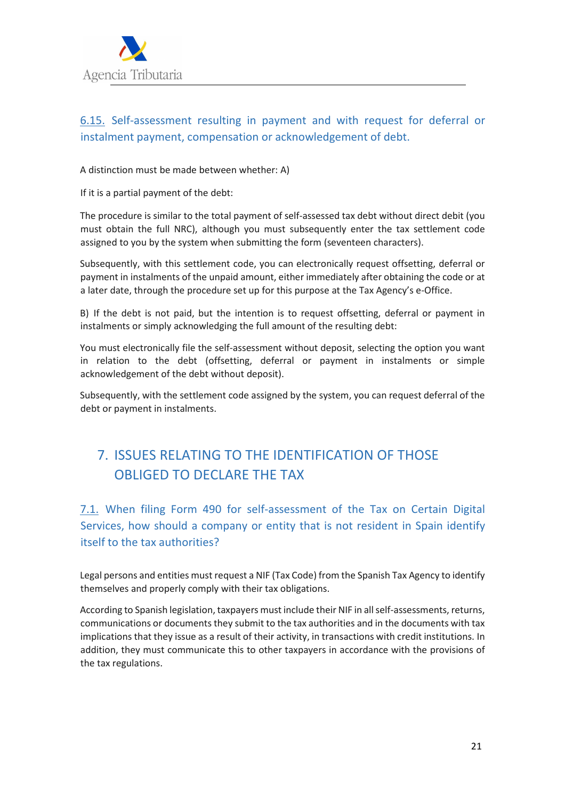

# 6.15. Self-assessment resulting in payment and with request for deferral or instalment payment, compensation or acknowledgement of debt.

#### A distinction must be made between whether: A)

If it is a partial payment of the debt:

The procedure is similar to the total payment of self-assessed tax debt without direct debit (you must obtain the full NRC), although you must subsequently enter the tax settlement code assigned to you by the system when submitting the form (seventeen characters).

Subsequently, with this settlement code, you can electronically request offsetting, deferral or payment in instalments of the unpaid amount, either immediately after obtaining the code or at a later date, through the procedure set up for this purpose at the Tax Agency's e-Office.

B) If the debt is not paid, but the intention is to request offsetting, deferral or payment in instalments or simply acknowledging the full amount of the resulting debt:

You must electronically file the self-assessment without deposit, selecting the option you want in relation to the debt (offsetting, deferral or payment in instalments or simple acknowledgement of the debt without deposit).

Subsequently, with the settlement code assigned by the system, you can request deferral of the debt or payment in instalments.

# 7. ISSUES RELATING TO THE IDENTIFICATION OF THOSE OBLIGED TO DECLARE THE TAX

7.1. When filing Form 490 for self-assessment of the Tax on Certain Digital Services, how should a company or entity that is not resident in Spain identify itself to the tax authorities?

Legal persons and entities must request a NIF (Tax Code) from the Spanish Tax Agency to identify themselves and properly comply with their tax obligations.

According to Spanish legislation, taxpayers must include their NIF in all self-assessments, returns, communications or documents they submit to the tax authorities and in the documents with tax implications that they issue as a result of their activity, in transactions with credit institutions. In addition, they must communicate this to other taxpayers in accordance with the provisions of the tax regulations.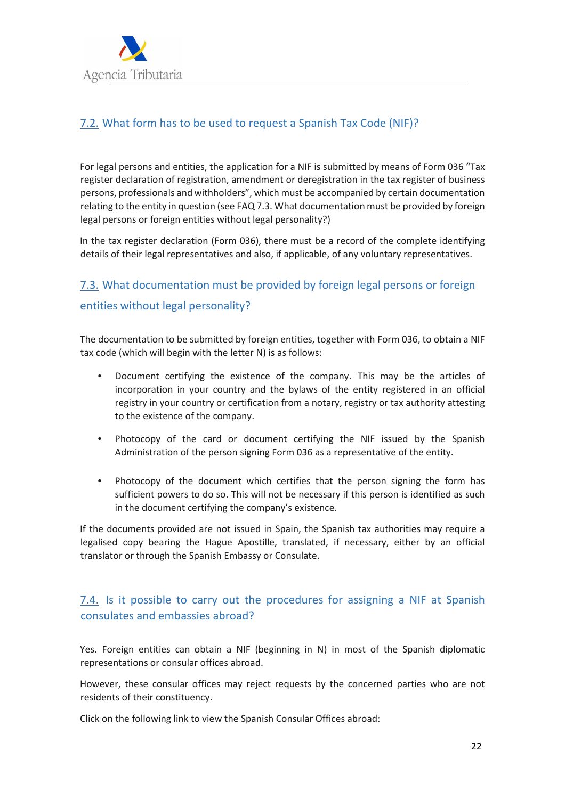

## 7.2. What form has to be used to request a Spanish Tax Code (NIF)?

For legal persons and entities, the application for a NIF is submitted by means of Form 036 "Tax register declaration of registration, amendment or deregistration in the tax register of business persons, professionals and withholders", which must be accompanied by certain documentation relating to the entity in question (see FAQ 7.3. What documentation must be provided by foreign legal persons or foreign entities without legal personality?)

In the tax register declaration (Form 036), there must be a record of the complete identifying details of their legal representatives and also, if applicable, of any voluntary representatives.

# 7.3. What documentation must be provided by foreign legal persons or foreign entities without legal personality?

The documentation to be submitted by foreign entities, together with Form 036, to obtain a NIF tax code (which will begin with the letter N) is as follows:

- Document certifying the existence of the company. This may be the articles of incorporation in your country and the bylaws of the entity registered in an official registry in your country or certification from a notary, registry or tax authority attesting to the existence of the company.
- Photocopy of the card or document certifying the NIF issued by the Spanish Administration of the person signing Form 036 as a representative of the entity.
- Photocopy of the document which certifies that the person signing the form has sufficient powers to do so. This will not be necessary if this person is identified as such in the document certifying the company's existence.

If the documents provided are not issued in Spain, the Spanish tax authorities may require a legalised copy bearing the Hague Apostille, translated, if necessary, either by an official translator or through the Spanish Embassy or Consulate.

## 7.4. Is it possible to carry out the procedures for assigning a NIF at Spanish consulates and embassies abroad?

Yes. Foreign entities can obtain a NIF (beginning in N) in most of the Spanish diplomatic representations or consular offices abroad.

However, these consular offices may reject requests by the concerned parties who are not residents of their constituency.

Click on the following link to view the Spanish Consular Offices abroad: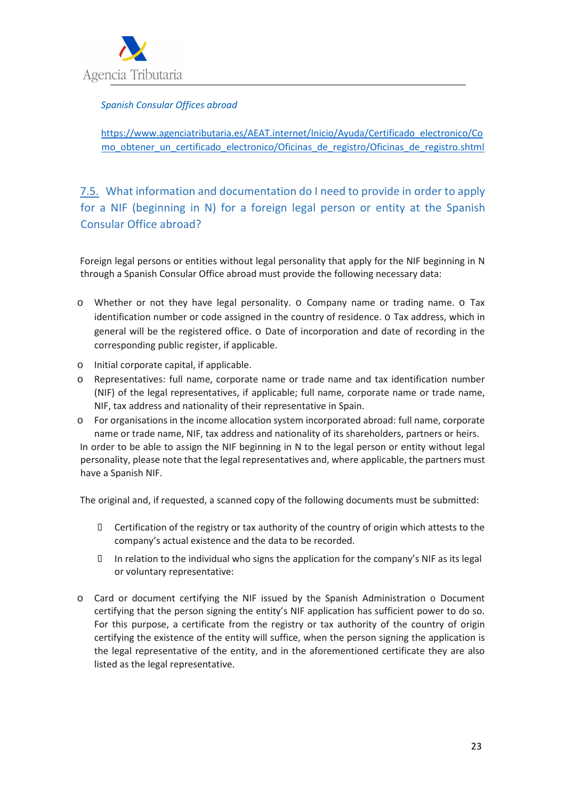

#### *Spanish Consular Offices abroad*

https://www.agenciatributaria.es/AEAT.internet/Inicio/Ayuda/Certificado\_electronico/Co mo\_obtener\_un\_certificado\_electronico/Oficinas\_de\_registro/Oficinas\_de\_registro.shtml

7.5. What information and documentation do I need to provide in order to apply for a NIF (beginning in N) for a foreign legal person or entity at the Spanish Consular Office abroad?

Foreign legal persons or entities without legal personality that apply for the NIF beginning in N through a Spanish Consular Office abroad must provide the following necessary data:

- o Whether or not they have legal personality. o Company name or trading name. o Tax identification number or code assigned in the country of residence. o Tax address, which in general will be the registered office. o Date of incorporation and date of recording in the corresponding public register, if applicable.
- o Initial corporate capital, if applicable.
- o Representatives: full name, corporate name or trade name and tax identification number (NIF) of the legal representatives, if applicable; full name, corporate name or trade name, NIF, tax address and nationality of their representative in Spain.
- o For organisations in the income allocation system incorporated abroad: full name, corporate name or trade name, NIF, tax address and nationality of its shareholders, partners or heirs.

In order to be able to assign the NIF beginning in N to the legal person or entity without legal personality, please note that the legal representatives and, where applicable, the partners must have a Spanish NIF.

The original and, if requested, a scanned copy of the following documents must be submitted:

 Certification of the registry or tax authority of the country of origin which attests to the company's actual existence and the data to be recorded.

 In relation to the individual who signs the application for the company's NIF as its legal or voluntary representative:

o Card or document certifying the NIF issued by the Spanish Administration o Document certifying that the person signing the entity's NIF application has sufficient power to do so. For this purpose, a certificate from the registry or tax authority of the country of origin certifying the existence of the entity will suffice, when the person signing the application is the legal representative of the entity, and in the aforementioned certificate they are also listed as the legal representative.